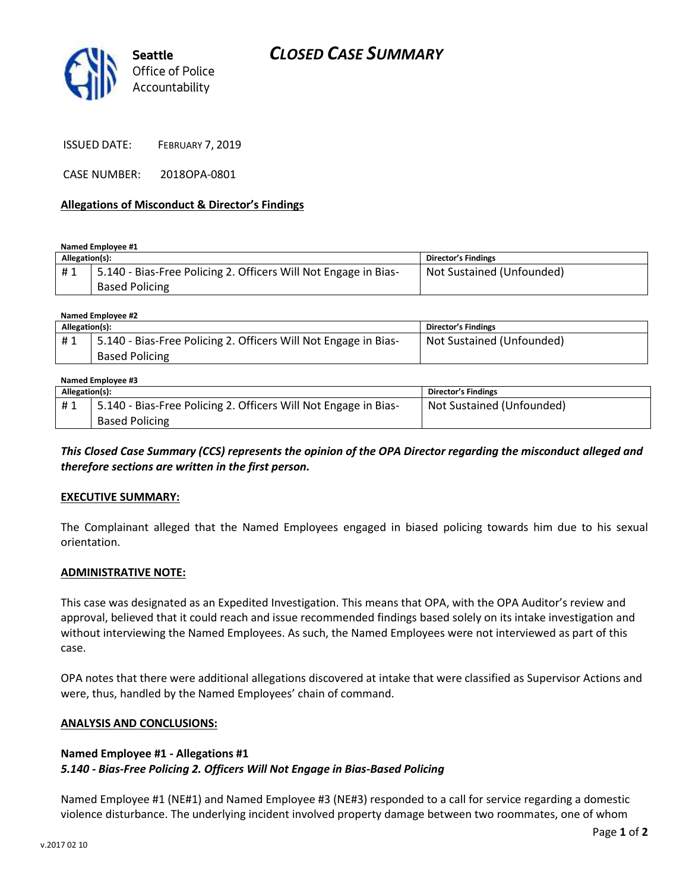

ISSUED DATE: FEBRUARY 7, 2019

CASE NUMBER: 2018OPA-0801

#### **Allegations of Misconduct & Director's Findings**

**Named Employee #1**

| Allegation(s): |                                                                                           | Director's Findings       |
|----------------|-------------------------------------------------------------------------------------------|---------------------------|
| #1             | 15.140 - Bias-Free Policing 2. Officers Will Not Engage in Bias-<br><b>Based Policing</b> | Not Sustained (Unfounded) |
|                |                                                                                           |                           |

| Named Employee #2 |                                                                 |                            |  |  |
|-------------------|-----------------------------------------------------------------|----------------------------|--|--|
| Allegation(s):    |                                                                 | <b>Director's Findings</b> |  |  |
| #1                | 5.140 - Bias-Free Policing 2. Officers Will Not Engage in Bias- | Not Sustained (Unfounded)  |  |  |
|                   | <b>Based Policing</b>                                           |                            |  |  |

| Named Employee #3 |                                                                 |                            |  |  |
|-------------------|-----------------------------------------------------------------|----------------------------|--|--|
| Allegation(s):    |                                                                 | <b>Director's Findings</b> |  |  |
| #1                | 5.140 - Bias-Free Policing 2. Officers Will Not Engage in Bias- | Not Sustained (Unfounded)  |  |  |
|                   | <b>Based Policing</b>                                           |                            |  |  |

*This Closed Case Summary (CCS) represents the opinion of the OPA Director regarding the misconduct alleged and therefore sections are written in the first person.* 

#### **EXECUTIVE SUMMARY:**

The Complainant alleged that the Named Employees engaged in biased policing towards him due to his sexual orientation.

#### **ADMINISTRATIVE NOTE:**

This case was designated as an Expedited Investigation. This means that OPA, with the OPA Auditor's review and approval, believed that it could reach and issue recommended findings based solely on its intake investigation and without interviewing the Named Employees. As such, the Named Employees were not interviewed as part of this case.

OPA notes that there were additional allegations discovered at intake that were classified as Supervisor Actions and were, thus, handled by the Named Employees' chain of command.

#### **ANALYSIS AND CONCLUSIONS:**

## **Named Employee #1 - Allegations #1** *5.140 - Bias-Free Policing 2. Officers Will Not Engage in Bias-Based Policing*

Named Employee #1 (NE#1) and Named Employee #3 (NE#3) responded to a call for service regarding a domestic violence disturbance. The underlying incident involved property damage between two roommates, one of whom